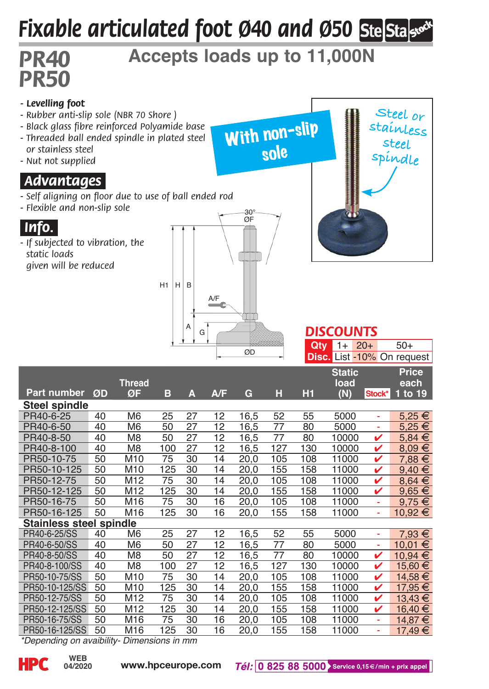# *Fixable articulated foot Ø40 and Ø50*

# *PR40* **Accepts loads up to 11,000N**

sole

# *PR50 - Levelling foot*

- *Rubber anti-slip sole (NBR 70 Shore )*
- *Black glass fibre reinforced Polyamide base*
- *Threaded ball ended spindle in plated steel or stainless steel*
- *Nut not supplied*

### *.Advantages.*

- *Self aligning on floor due to use of ball ended rod*
- *Flexible and non-slip sole*



*- If subjected to vibration, the static loads given will be reduced*





#### *DISCOUNTS* **Qty** 1+ 20+ 50+

|                                            |    |                     |     |    |                 |      |     | <b>Disc.</b> List -10% On request |                              |        |                          |
|--------------------------------------------|----|---------------------|-----|----|-----------------|------|-----|-----------------------------------|------------------------------|--------|--------------------------|
| Part number                                | ØD | <b>Thread</b><br>ØF | в   | А  | A/F             | G    | н   | H <sub>1</sub>                    | <b>Static</b><br>load<br>(N) | Stock* | Price<br>each<br>1 to 19 |
| Steel spindle                              |    |                     |     |    |                 |      |     |                                   |                              |        |                          |
| PR40-6-25                                  | 40 | M <sub>6</sub>      | 25  | 27 | 12              | 16,5 | 52  | 55                                | 5000                         | ä,     | $5.25 \in$               |
| PR40-6-50                                  | 40 | M <sub>6</sub>      | 50  | 27 | 12              | 16,5 | 77  | 80                                | 5000                         | ÷,     | $5,25 \in$               |
| PR40-8-50                                  | 40 | M <sub>8</sub>      | 50  | 27 | 12              | 16,5 | 77  | 80                                | 10000                        | v      | $5,84 \in$               |
| PR40-8-100                                 | 40 | M <sub>8</sub>      | 100 | 27 | 12              | 16,5 | 127 | 130                               | 10000                        | v      | $8.09 \in$               |
| PR50-10-75                                 | 50 | M <sub>10</sub>     | 75  | 30 | 14              | 20,0 | 105 | 108                               | 11000                        | v      | $7.88 \in$               |
| PR50-10-125                                | 50 | M10                 | 125 | 30 | 14              | 20,0 | 155 | 158                               | 11000                        | v      | $9.40 \in$               |
| PR50-12-75                                 | 50 | M12                 | 75  | 30 | 14              | 20,0 | 105 | 108                               | 11000                        | v      | $8,64 \in$               |
| PR50-12-125                                | 50 | M12                 | 125 | 30 | 14              | 20,0 | 155 | 158                               | 11000                        | v      | $9,65 \in$               |
| PR50-16-75                                 | 50 | M16                 | 75  | 30 | 16              | 20,0 | 105 | 108                               | 11000                        | ÷,     | $9,75 \in$               |
| PR50-16-125                                | 50 | M16                 | 125 | 30 | 16              | 20,0 | 155 | 158                               | 11000                        | ÷,     | $10,92 \in$              |
| <b>Stainless steel spindle</b>             |    |                     |     |    |                 |      |     |                                   |                              |        |                          |
| PR40-6-25/SS                               | 40 | M <sub>6</sub>      | 25  | 27 | 12              | 16,5 | 52  | 55                                | 5000                         | ÷,     | $7.93 \in$               |
| PR40-6-50/SS                               | 40 | M <sub>6</sub>      | 50  | 27 | 12              | 16,5 | 77  | 80                                | 5000                         | ÷,     | 10,01 €                  |
| PR40-8-50/SS                               | 40 | M <sub>8</sub>      | 50  | 27 | $\overline{12}$ | 16,5 | 77  | 80                                | 10000                        | v      | 10,94 €                  |
| PR40-8-100/SS                              | 40 | M <sub>8</sub>      | 100 | 27 | 12              | 16,5 | 127 | 130                               | 10000                        | v      | 15,60 €                  |
| PR50-10-75/SS                              | 50 | M <sub>10</sub>     | 75  | 30 | 14              | 20,0 | 105 | 108                               | 11000                        | v      | 14.58 €                  |
| PR50-10-125/SS                             | 50 | M <sub>10</sub>     | 125 | 30 | 14              | 20.0 | 155 | 158                               | 11000                        | v      | 17,95 €                  |
| PR50-12-75/SS                              | 50 | M12                 | 75  | 30 | 14              | 20,0 | 105 | 108                               | 11000                        | v      | 13,43 €                  |
| PR50-12-125/SS                             | 50 | M12                 | 125 | 30 | 14              | 20,0 | 155 | 158                               | 11000                        | v      | 16,40 €                  |
| PR50-16-75/SS                              | 50 | M16                 | 75  | 30 | 16              | 20,0 | 105 | 108                               | 11000                        | ä,     | 14.87 €                  |
| PR50-16-125/SS                             | 50 | M16                 | 125 | 30 | 16              | 20,0 | 155 | 158                               | 11000                        | ÷,     | 17,49 €                  |
| *Denending on avaihility. Dimensions in mm |    |                     |     |    |                 |      |     |                                   |                              |        |                          |

*\*Depending on avaibility- Dimensions in mm*

**04/2020**